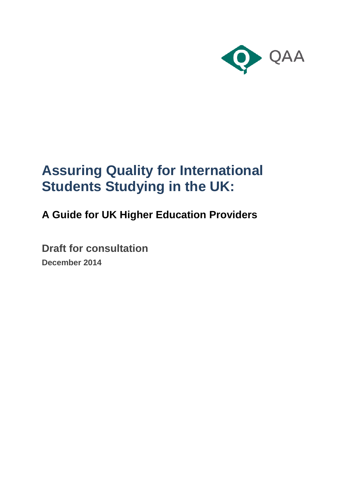

# **Assuring Quality for International Students Studying in the UK:**

# **A Guide for UK Higher Education Providers**

**Draft for consultation December 2014**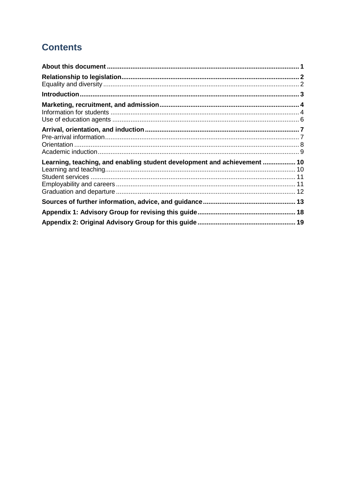# **Contents**

| Learning, teaching, and enabling student development and achievement  10 |  |
|--------------------------------------------------------------------------|--|
|                                                                          |  |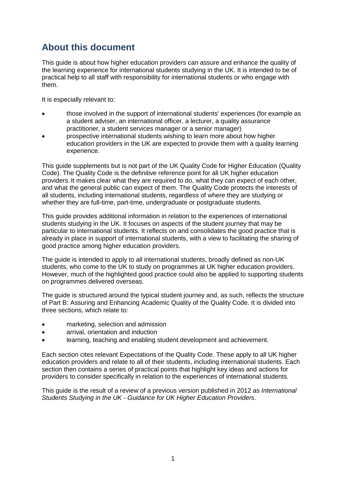# <span id="page-2-0"></span>**About this document**

This guide is about how higher education providers can assure and enhance the quality of the learning experience for international students studying in the UK. It is intended to be of practical help to all staff with responsibility for international students or who engage with them.

It is especially relevant to:

- those involved in the support of international students' experiences (for example as a student adviser, an international officer, a lecturer, a quality assurance practitioner, a student services manager or a senior manager)
- prospective international students wishing to learn more about how higher education providers in the UK are expected to provide them with a quality learning experience.

This guide supplements but is not part of the UK Quality Code for Higher Education (Quality Code). The Quality Code is the definitive reference point for all UK higher education providers. It makes clear what they are required to do, what they can expect of each other, and what the general public can expect of them. The Quality Code protects the interests of all students, including international students, regardless of where they are studying or whether they are full-time, part-time, undergraduate or postgraduate students.

This guide provides additional information in relation to the experiences of international students studying in the UK. It focuses on aspects of the student journey that may be particular to international students. It reflects on and consolidates the good practice that is already in place in support of international students, with a view to facilitating the sharing of good practice among higher education providers.

The guide is intended to apply to all international students, broadly defined as non-UK students, who come to the UK to study on programmes at UK higher education providers. However, much of the highlighted good practice could also be applied to supporting students on programmes delivered overseas.

The guide is structured around the typical student journey and, as such, reflects the structure of Part B: Assuring and Enhancing Academic Quality of the Quality Code. It is divided into three sections, which relate to:

- marketing, selection and admission
- arrival, orientation and induction
- learning, teaching and enabling student development and achievement.

Each section cites relevant Expectations of the Quality Code. These apply to all UK higher education providers and relate to all of their students, including international students. Each section then contains a series of practical points that highlight key ideas and actions for providers to consider specifically in relation to the experiences of international students.

This guide is the result of a review of a previous version published in 2012 as *International Students Studying in the UK - Guidance for UK Higher Education Providers*.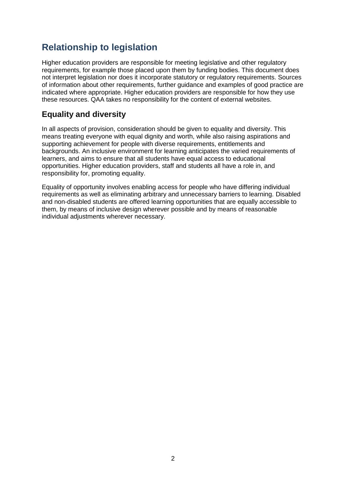# <span id="page-3-0"></span>**Relationship to legislation**

Higher education providers are responsible for meeting legislative and other regulatory requirements, for example those placed upon them by funding bodies. This document does not interpret legislation nor does it incorporate statutory or regulatory requirements. Sources of information about other requirements, further guidance and examples of good practice are indicated where appropriate. Higher education providers are responsible for how they use these resources. QAA takes no responsibility for the content of external websites.

# <span id="page-3-1"></span>**Equality and diversity**

In all aspects of provision, consideration should be given to equality and diversity. This means treating everyone with equal dignity and worth, while also raising aspirations and supporting achievement for people with diverse requirements, entitlements and backgrounds. An inclusive environment for learning anticipates the varied requirements of learners, and aims to ensure that all students have equal access to educational opportunities. Higher education providers, staff and students all have a role in, and responsibility for, promoting equality.

Equality of opportunity involves enabling access for people who have differing individual requirements as well as eliminating arbitrary and unnecessary barriers to learning. Disabled and non-disabled students are offered learning opportunities that are equally accessible to them, by means of inclusive design wherever possible and by means of reasonable individual adjustments wherever necessary.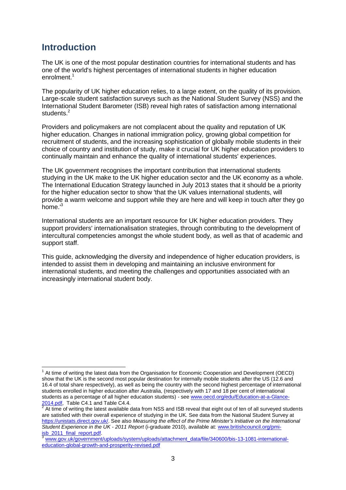# <span id="page-4-0"></span>**Introduction**

The UK is one of the most popular destination countries for international students and has one of the world's highest percentages of international students in higher education enrolment. 1

The popularity of UK higher education relies, to a large extent, on the quality of its provision. Large-scale student satisfaction surveys such as the National Student Survey (NSS) and the International Student Barometer (ISB) reveal high rates of satisfaction among international students.<sup>2</sup>

Providers and policymakers are not complacent about the quality and reputation of UK higher education. Changes in national immigration policy, growing global competition for recruitment of students, and the increasing sophistication of globally mobile students in their choice of country and institution of study, make it crucial for UK higher education providers to continually maintain and enhance the quality of international students' experiences.

The UK government recognises the important contribution that international students studying in the UK make to the UK higher education sector and the UK economy as a whole. The International Education Strategy launched in July 2013 states that it should be a priority for the higher education sector to show 'that the UK values international students, will provide a warm welcome and support while they are here and will keep in touch after they go home.<sup>13</sup>

International students are an important resource for UK higher education providers. They support providers' internationalisation strategies, through contributing to the development of intercultural competencies amongst the whole student body, as well as that of academic and support staff.

This guide, acknowledging the diversity and independence of higher education providers, is intended to assist them in developing and maintaining an inclusive environment for international students, and meeting the challenges and opportunities associated with an increasingly international student body.

 $\overline{1}$  $1$  At time of writing the latest data from the Organisation for Economic Cooperation and Development (OECD) show that the UK is the second most popular destination for internally mobile students after the US (12.6 and 16.4 of total share respectively), as well as being the country with the second highest percentage of international students enrolled in higher education after Australia, (respectively with 17 and 18 per cent of international students as a percentage of all higher education students) - see [www.oecd.org/edu/Education-at-a-Glance-](http://www.oecd.org/edu/Education-at-a-Glance-2014.pdf)

[<sup>2014.</sup>pdf,](http://www.oecd.org/edu/Education-at-a-Glance-2014.pdf) Table C4.1 and Table C4.4.<br><sup>2</sup> At time of writing the latest available data from NSS and ISB reveal that eight out of ten of all surveyed students are satisfied with their overall experience of studying in the UK. See data from the National Student Survey at [https://unistats.direct.gov.uk/.](https://unistats.direct.gov.uk/) See also *Measuring the effect of the Prime Minister's Initiative on the International Student Experience in the UK - 2011 Report* (i-graduate 2010), available at: [www.britishcouncil.org/pmi](file:///C:/Users/f.trifiro/AppData/Local/Microsoft/Windows/Temporary%20Internet%20Files/Content.Outlook/TU3SNU5N/www.britishcouncil.org/pmi-isb_2011_final_report.pdf)[isb\\_2011\\_final\\_report.pdf.](file:///C:/Users/f.trifiro/AppData/Local/Microsoft/Windows/Temporary%20Internet%20Files/Content.Outlook/TU3SNU5N/www.britishcouncil.org/pmi-isb_2011_final_report.pdf)

[www.gov.uk/government/uploads/system/uploads/attachment\\_data/file/340600/bis-13-1081-international](file:///C:/Users/f.trifiro/AppData/Local/Microsoft/Windows/Temporary%20Internet%20Files/Content.Outlook/TU3SNU5N/www.gov.uk/government/uploads/system/uploads/attachment_data/file/340600/bis-13-1081-international-education-global-growth-and-prosperity-revised.pdf)[education-global-growth-and-prosperity-revised.pdf](file:///C:/Users/f.trifiro/AppData/Local/Microsoft/Windows/Temporary%20Internet%20Files/Content.Outlook/TU3SNU5N/www.gov.uk/government/uploads/system/uploads/attachment_data/file/340600/bis-13-1081-international-education-global-growth-and-prosperity-revised.pdf)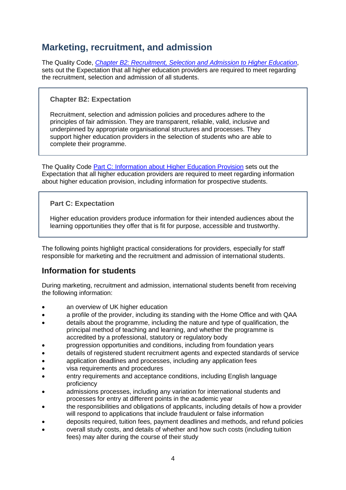# <span id="page-5-0"></span>**Marketing, recruitment, and admission**

The Quality Code, *[Chapter B2: Recruitment, Selection and Admission to Higher Education](http://www.qaa.ac.uk/publications/information-and-guidance/publication?PubID=173)*, sets out the Expectation that all higher education providers are required to meet regarding the recruitment, selection and admission of all students.

#### **Chapter B2: Expectation**

Recruitment, selection and admission policies and procedures adhere to the principles of fair admission. They are transparent, reliable, valid, inclusive and underpinned by appropriate organisational structures and processes. They support higher education providers in the selection of students who are able to complete their programme.

The Quality Code [Part C: Information about Higher Education Provision](http://www.qaa.ac.uk/publications/information-and-guidance/publication?PubID=184) sets out the Expectation that all higher education providers are required to meet regarding information about higher education provision, including information for prospective students.

#### **Part C: Expectation**

Higher education providers produce information for their intended audiences about the learning opportunities they offer that is fit for purpose, accessible and trustworthy.

The following points highlight practical considerations for providers, especially for staff responsible for marketing and the recruitment and admission of international students.

### <span id="page-5-1"></span>**Information for students**

During marketing, recruitment and admission, international students benefit from receiving the following information:

- an overview of UK higher education
- a profile of the provider, including its standing with the Home Office and with QAA
- details about the programme, including the nature and type of qualification, the principal method of teaching and learning, and whether the programme is accredited by a professional, statutory or regulatory body
- progression opportunities and conditions, including from foundation years
- details of registered student recruitment agents and expected standards of service
- application deadlines and processes, including any application fees
- visa requirements and procedures
- entry requirements and acceptance conditions, including English language proficiency
- admissions processes, including any variation for international students and processes for entry at different points in the academic year
- the responsibilities and obligations of applicants, including details of how a provider will respond to applications that include fraudulent or false information
- deposits required, tuition fees, payment deadlines and methods, and refund policies
- overall study costs, and details of whether and how such costs (including tuition fees) may alter during the course of their study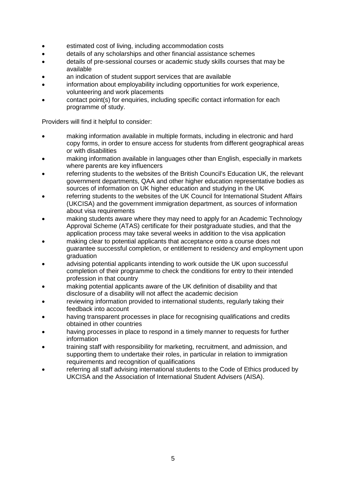- estimated cost of living, including accommodation costs
- details of any scholarships and other financial assistance schemes
- details of pre-sessional courses or academic study skills courses that may be available
- an indication of student support services that are available
- information about employability including opportunities for work experience, volunteering and work placements
- contact point(s) for enquiries, including specific contact information for each programme of study.

- making information available in multiple formats, including in electronic and hard copy forms, in order to ensure access for students from different geographical areas or with disabilities
- making information available in languages other than English, especially in markets where parents are key influencers
- referring students to the websites of the British Council's Education UK, the relevant government departments, QAA and other higher education representative bodies as sources of information on UK higher education and studying in the UK
- referring students to the websites of the UK Council for International Student Affairs (UKCISA) and the government immigration department, as sources of information about visa requirements
- making students aware where they may need to apply for an Academic Technology Approval Scheme (ATAS) certificate for their postgraduate studies, and that the application process may take several weeks in addition to the visa application
- making clear to potential applicants that acceptance onto a course does not guarantee successful completion, or entitlement to residency and employment upon graduation
- advising potential applicants intending to work outside the UK upon successful completion of their programme to check the conditions for entry to their intended profession in that country
- making potential applicants aware of the UK definition of disability and that disclosure of a disability will not affect the academic decision
- reviewing information provided to international students, regularly taking their feedback into account
- having transparent processes in place for recognising qualifications and credits obtained in other countries
- having processes in place to respond in a timely manner to requests for further information
- training staff with responsibility for marketing, recruitment, and admission, and supporting them to undertake their roles, in particular in relation to immigration requirements and recognition of qualifications
- referring all staff advising international students to the Code of Ethics produced by UKCISA and the Association of International Student Advisers (AISA).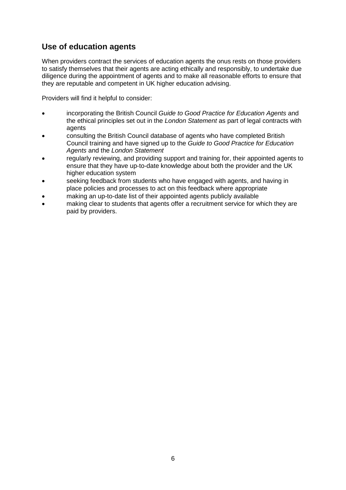## <span id="page-7-0"></span>**Use of education agents**

When providers contract the services of education agents the onus rests on those providers to satisfy themselves that their agents are acting ethically and responsibly, to undertake due diligence during the appointment of agents and to make all reasonable efforts to ensure that they are reputable and competent in UK higher education advising.

- incorporating the British Council *Guide to Good Practice for Education Agents* and the ethical principles set out in the *London Statement* as part of legal contracts with agents
- consulting the British Council database of agents who have completed British Council training and have signed up to the *Guide to Good Practice for Education Agents* and the *London Statement*
- regularly reviewing, and providing support and training for, their appointed agents to ensure that they have up-to-date knowledge about both the provider and the UK higher education system
- seeking feedback from students who have engaged with agents, and having in place policies and processes to act on this feedback where appropriate
- making an up-to-date list of their appointed agents publicly available
- making clear to students that agents offer a recruitment service for which they are paid by providers.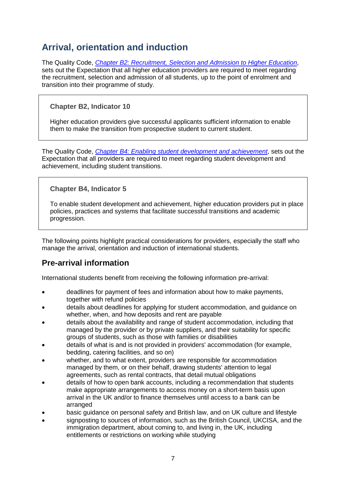# <span id="page-8-0"></span>**Arrival, orientation and induction**

The Quality Code, *[Chapter B2: Recruitment, Selection and Admission to Higher Education](http://www.qaa.ac.uk/publications/information-and-guidance/publication?PubID=173)*, sets out the Expectation that all higher education providers are required to meet regarding the recruitment, selection and admission of all students, up to the point of enrolment and transition into their programme of study.

### **Chapter B2, Indicator 10**

Higher education providers give successful applicants sufficient information to enable them to make the transition from prospective student to current student.

The Quality Code, *[Chapter B4: Enabling student development and achievement](file:///C:/Users/f.trifiro/AppData/Local/Microsoft/Windows/Temporary%20Internet%20Files/Content.Outlook/TU3SNU5N/Chapter%20B4:%20Enabling%20student%20development%20and%20achievement)*, sets out the Expectation that all providers are required to meet regarding student development and achievement, including student transitions.

### **Chapter B4, Indicator 5**

To enable student development and achievement, higher education providers put in place policies, practices and systems that facilitate successful transitions and academic progression.

The following points highlight practical considerations for providers, especially the staff who manage the arrival, orientation and induction of international students.

# <span id="page-8-1"></span>**Pre-arrival information**

International students benefit from receiving the following information pre-arrival:

- deadlines for payment of fees and information about how to make payments, together with refund policies
- details about deadlines for applying for student accommodation, and guidance on whether, when, and how deposits and rent are payable
- details about the availability and range of student accommodation, including that managed by the provider or by private suppliers, and their suitability for specific groups of students, such as those with families or disabilities
- details of what is and is not provided in providers' accommodation (for example, bedding, catering facilities, and so on)
- whether, and to what extent, providers are responsible for accommodation managed by them, or on their behalf, drawing students' attention to legal agreements, such as rental contracts, that detail mutual obligations
- details of how to open bank accounts, including a recommendation that students make appropriate arrangements to access money on a short-term basis upon arrival in the UK and/or to finance themselves until access to a bank can be arranged
- basic guidance on personal safety and British law, and on UK culture and lifestyle
- signposting to sources of information, such as the British Council, UKCISA, and the immigration department, about coming to, and living in, the UK, including entitlements or restrictions on working while studying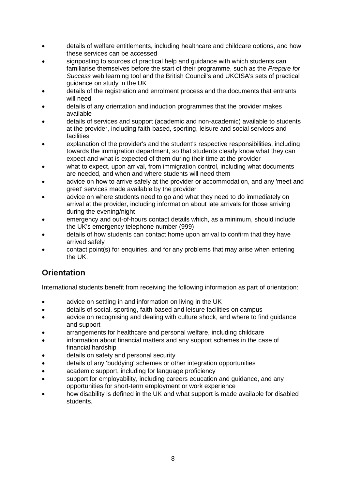- details of welfare entitlements, including healthcare and childcare options, and how these services can be accessed
- signposting to sources of practical help and guidance with which students can familiarise themselves before the start of their programme, such as the *Prepare for Success* web learning tool and the British Council's and UKCISA's sets of practical guidance on study in the UK
- details of the registration and enrolment process and the documents that entrants will need
- details of any orientation and induction programmes that the provider makes available
- details of services and support (academic and non-academic) available to students at the provider, including faith-based, sporting, leisure and social services and facilities
- explanation of the provider's and the student's respective responsibilities, including towards the immigration department, so that students clearly know what they can expect and what is expected of them during their time at the provider
- what to expect, upon arrival, from immigration control, including what documents are needed, and when and where students will need them
- advice on how to arrive safely at the provider or accommodation, and any 'meet and greet' services made available by the provider
- advice on where students need to go and what they need to do immediately on arrival at the provider, including information about late arrivals for those arriving during the evening/night
- emergency and out-of-hours contact details which, as a minimum, should include the UK's emergency telephone number (999)
- details of how students can contact home upon arrival to confirm that they have arrived safely
- contact point(s) for enquiries, and for any problems that may arise when entering the UK.

# <span id="page-9-0"></span>**Orientation**

International students benefit from receiving the following information as part of orientation:

- advice on settling in and information on living in the UK
- details of social, sporting, faith-based and leisure facilities on campus
- advice on recognising and dealing with culture shock, and where to find guidance and support
- arrangements for healthcare and personal welfare, including childcare
- information about financial matters and any support schemes in the case of financial hardship
- details on safety and personal security
- details of any 'buddying' schemes or other integration opportunities
- academic support, including for language proficiency
- support for employability, including careers education and guidance, and any opportunities for short-term employment or work experience
- how disability is defined in the UK and what support is made available for disabled students.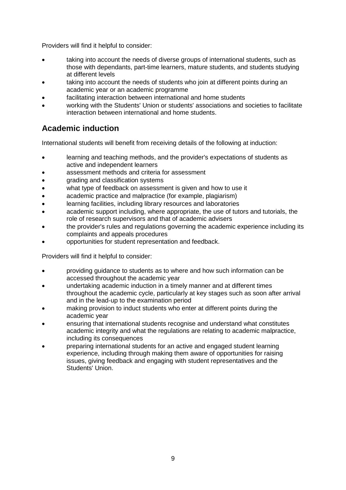Providers will find it helpful to consider:

- taking into account the needs of diverse groups of international students, such as those with dependants, part-time learners, mature students, and students studying at different levels
- taking into account the needs of students who join at different points during an academic year or an academic programme
- facilitating interaction between international and home students
- working with the Students' Union or students' associations and societies to facilitate interaction between international and home students.

# <span id="page-10-0"></span>**Academic induction**

International students will benefit from receiving details of the following at induction:

- learning and teaching methods, and the provider's expectations of students as active and independent learners
- assessment methods and criteria for assessment
- grading and classification systems
- what type of feedback on assessment is given and how to use it
- academic practice and malpractice (for example, plagiarism)
- learning facilities, including library resources and laboratories
- academic support including, where appropriate, the use of tutors and tutorials, the role of research supervisors and that of academic advisers
- the provider's rules and regulations governing the academic experience including its complaints and appeals procedures
- opportunities for student representation and feedback.

- providing guidance to students as to where and how such information can be accessed throughout the academic year
- undertaking academic induction in a timely manner and at different times throughout the academic cycle, particularly at key stages such as soon after arrival and in the lead-up to the examination period
- making provision to induct students who enter at different points during the academic year
- ensuring that international students recognise and understand what constitutes academic integrity and what the regulations are relating to academic malpractice, including its consequences
- preparing international students for an active and engaged student learning experience, including through making them aware of opportunities for raising issues, giving feedback and engaging with student representatives and the Students' Union.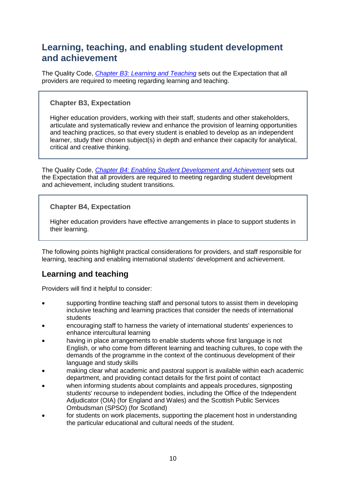# <span id="page-11-0"></span>**Learning, teaching, and enabling student development and achievement**

The Quality Code, *[Chapter B3: Learning and Teaching](http://www.qaa.ac.uk/publications/information-and-guidance/publication?PubID=171)* sets out the Expectation that all providers are required to meeting regarding learning and teaching.

#### **Chapter B3, Expectation**

Higher education providers, working with their staff, students and other stakeholders, articulate and systematically review and enhance the provision of learning opportunities and teaching practices, so that every student is enabled to develop as an independent learner, study their chosen subject(s) in depth and enhance their capacity for analytical, critical and creative thinking.

The Quality Code, *[Chapter B4: Enabling Student Development and Achievement](http://www.qaa.ac.uk/publications/information-and-guidance/publication?PubID=172)* sets out the Expectation that all providers are required to meeting regarding student development and achievement, including student transitions.

### **Chapter B4, Expectation**

Higher education providers have effective arrangements in place to support students in their learning.

The following points highlight practical considerations for providers, and staff responsible for learning, teaching and enabling international students' development and achievement.

## <span id="page-11-1"></span>**Learning and teaching**

- supporting frontline teaching staff and personal tutors to assist them in developing inclusive teaching and learning practices that consider the needs of international students
- encouraging staff to harness the variety of international students' experiences to enhance intercultural learning
- having in place arrangements to enable students whose first language is not English, or who come from different learning and teaching cultures, to cope with the demands of the programme in the context of the continuous development of their language and study skills
- making clear what academic and pastoral support is available within each academic department, and providing contact details for the first point of contact
- when informing students about complaints and appeals procedures, signposting students' recourse to independent bodies, including the Office of the Independent Adjudicator (OIA) (for England and Wales) and the Scottish Public Services Ombudsman (SPSO) (for Scotland)
- for students on work placements, supporting the placement host in understanding the particular educational and cultural needs of the student.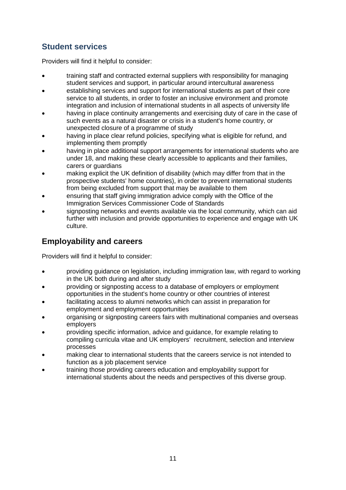# <span id="page-12-0"></span>**Student services**

Providers will find it helpful to consider:

- training staff and contracted external suppliers with responsibility for managing student services and support, in particular around intercultural awareness
- establishing services and support for international students as part of their core service to all students, in order to foster an inclusive environment and promote integration and inclusion of international students in all aspects of university life
- having in place continuity arrangements and exercising duty of care in the case of such events as a natural disaster or crisis in a student's home country, or unexpected closure of a programme of study
- having in place clear refund policies, specifying what is eligible for refund, and implementing them promptly
- having in place additional support arrangements for international students who are under 18, and making these clearly accessible to applicants and their families, carers or guardians
- making explicit the UK definition of disability (which may differ from that in the prospective students' home countries), in order to prevent international students from being excluded from support that may be available to them
- ensuring that staff giving immigration advice comply with the Office of the Immigration Services Commissioner Code of Standards
- signposting networks and events available via the local community, which can aid further with inclusion and provide opportunities to experience and engage with UK culture.

# <span id="page-12-1"></span>**Employability and careers**

- providing guidance on legislation, including immigration law, with regard to working in the UK both during and after study
- providing or signposting access to a database of employers or employment opportunities in the student's home country or other countries of interest
- facilitating access to alumni networks which can assist in preparation for employment and employment opportunities
- organising or signposting careers fairs with multinational companies and overseas employers
- providing specific information, advice and guidance, for example relating to compiling curricula vitae and UK employers' recruitment, selection and interview processes
- making clear to international students that the careers service is not intended to function as a job placement service
- <span id="page-12-2"></span> training those providing careers education and employability support for international students about the needs and perspectives of this diverse group.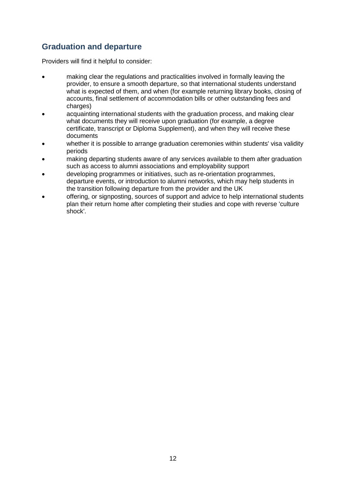# **Graduation and departure**

- making clear the regulations and practicalities involved in formally leaving the provider, to ensure a smooth departure, so that international students understand what is expected of them, and when (for example returning library books, closing of accounts, final settlement of accommodation bills or other outstanding fees and charges)
- acquainting international students with the graduation process, and making clear what documents they will receive upon graduation (for example, a degree certificate, transcript or Diploma Supplement), and when they will receive these documents
- whether it is possible to arrange graduation ceremonies within students' visa validity periods
- making departing students aware of any services available to them after graduation such as access to alumni associations and employability support
- developing programmes or initiatives, such as re-orientation programmes, departure events, or introduction to alumni networks, which may help students in the transition following departure from the provider and the UK
- offering, or signposting, sources of support and advice to help international students plan their return home after completing their studies and cope with reverse 'culture shock'.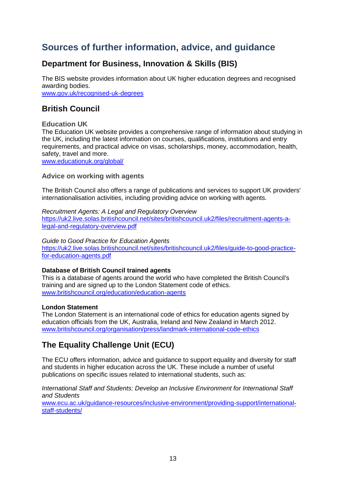# <span id="page-14-0"></span>**Sources of further information, advice, and guidance**

# **Department for Business, Innovation & Skills (BIS)**

The BIS website provides information about UK higher education degrees and recognised awarding bodies. [www.gov.uk/recognised-uk-degrees](http://www.gov.uk/recognised-uk-degrees)

## **British Council**

#### **Education UK**

The Education UK website provides a comprehensive range of information about studying in the UK, including the latest information on courses, qualifications, institutions and entry requirements, and practical advice on visas, scholarships, money, accommodation, health, safety, travel and more.

[www.educationuk.org/global/](http://www.educationuk.org/global/)

#### **Advice on working with agents**

The British Council also offers a range of publications and services to support UK providers' internationalisation activities, including providing advice on working with agents.

*Recruitment Agents: A Legal and Regulatory Overview* [https://uk2.live.solas.britishcouncil.net/sites/britishcouncil.uk2/files/recruitment-agents-a](https://uk2.live.solas.britishcouncil.net/sites/britishcouncil.uk2/files/recruitment-agents-a-legal-and-regulatory-overview.pdf)[legal-and-regulatory-overview.pdf](https://uk2.live.solas.britishcouncil.net/sites/britishcouncil.uk2/files/recruitment-agents-a-legal-and-regulatory-overview.pdf)

*Guide to Good Practice for Education Agents* [https://uk2.live.solas.britishcouncil.net/sites/britishcouncil.uk2/files/guide-to-good-practice](https://uk2.live.solas.britishcouncil.net/sites/britishcouncil.uk2/files/guide-to-good-practice-for-education-agents.pdf)[for-education-agents.pdf](https://uk2.live.solas.britishcouncil.net/sites/britishcouncil.uk2/files/guide-to-good-practice-for-education-agents.pdf)

#### **Database of British Council trained agents**

This is a [database of agents around the world who have completed the British Council's](http://www.bcagent.info/gal/)  [training and are signed up to the London Statement code of ethics.](http://www.bcagent.info/gal/) [www.britishcouncil.org/education/education-agents](http://www.britishcouncil.org/education/education-agents)

#### **London Statement**

The London Statement is an international code of ethics for education agents signed by education officials from the UK, Australia, Ireland and New Zealand in March 2012. [www.britishcouncil.org/organisation/press/landmark-international-code-ethics](http://www.britishcouncil.org/organisation/press/landmark-international-code-ethics)

# **The Equality Challenge Unit (ECU)**

The ECU offers information, advice and guidance to support equality and diversity for staff and students in higher education across the UK. These include a number of useful publications on specific issues related to international students, such as:

*International Staff and Students: Develop an Inclusive Environment for International Staff and Students* 

[www.ecu.ac.uk/guidance-resources/inclusive-environment/providing-support/international](http://www.ecu.ac.uk/guidance-resources/inclusive-environment/providing-support/international-staff-students/)[staff-students/](http://www.ecu.ac.uk/guidance-resources/inclusive-environment/providing-support/international-staff-students/)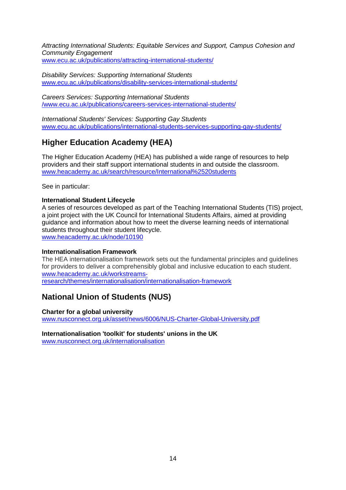*Attracting International Students: Equitable Services and Support, Campus Cohesion and Community Engagement*  [www.ecu.ac.uk/publications/attracting-international-students/](http://www.ecu.ac.uk/publications/attracting-international-students/)

*Disability Services: Supporting International Students* [www.ecu.ac.uk/publications/disability-services-international-students/](http://www.ecu.ac.uk/publications/disability-services-international-students/) 

*Careers Services: Supporting International Students* [/www.ecu.ac.uk/publications/careers-services-international-students/](http://www.ecu.ac.uk/publications/careers-services-international-students/)

*International Students' Services: Supporting Gay Students* [www.ecu.ac.uk/publications/international-students-services-supporting-gay-students/](http://www.ecu.ac.uk/publications/international-students-services-supporting-gay-students/)

# **Higher Education Academy (HEA)**

The Higher Education Academy (HEA) has published a wide range of resources to help providers and their staff support international students in and outside the classroom. [www.heacademy.ac.uk/search/resource/International%2520students](http://www.heacademy.ac.uk/search/resource/International%2520students)

See in particular:

#### **International Student Lifecycle**

A series of resources developed as part of the Teaching International Students (TIS) project, a joint project with the UK Council for International Students Affairs, aimed at providing guidance and information about how to meet the diverse learning needs of international students throughout their student lifecycle. [www.heacademy.ac.uk/node/10190](http://www.heacademy.ac.uk/node/10190)

#### **Internationalisation Framework**

The HEA internationalisation framework sets out the fundamental principles and guidelines for providers to deliver a comprehensibly global and inclusive education to each student. [www.heacademy.ac.uk/workstreams-](http://www.heacademy.ac.uk/workstreams-research/themes/internationalisation/internationalisation-framework)

[research/themes/internationalisation/internationalisation-framework](http://www.heacademy.ac.uk/workstreams-research/themes/internationalisation/internationalisation-framework)

### **National Union of Students (NUS)**

#### **Charter for a global university**

[www.nusconnect.org.uk/asset/news/6006/NUS-Charter-Global-University.pdf](http://www.nusconnect.org.uk/asset/news/6006/NUS-Charter-Global-University.pdf)

**Internationalisation 'toolkit' for students' unions in the UK** [www.nusconnect.org.uk/internationalisation](http://www.nusconnect.org.uk/internationalisation)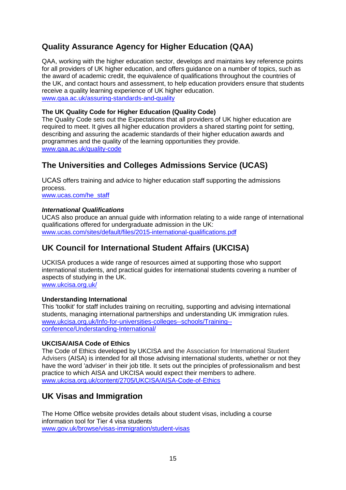# **Quality Assurance Agency for Higher Education (QAA)**

QAA, working with the higher education sector, develops and maintains key reference points for all providers of UK higher education, and offers guidance on a number of topics, such as the award of academic credit, the equivalence of qualifications throughout the countries of the UK, and contact hours and assessment, to help education providers ensure that students receive a quality learning experience of UK higher education. [www.qaa.ac.uk/assuring-standards-and-quality](http://www.qaa.ac.uk/assuring-standards-and-quality)

#### **The UK Quality Code for Higher Education (Quality Code)**

The Quality Code sets out the Expectations that all providers of UK higher education are required to meet. It gives all higher education providers a shared starting point for setting. describing and assuring the academic standards of their higher education awards and programmes and the quality of the learning opportunities they provide. [www.qaa.ac.uk/quality-code](http://www.qaa.ac.uk/quality-code)

## **The Universities and Colleges Admissions Service (UCAS)**

UCAS offers training and advice to higher education staff supporting the admissions process.

[www.ucas.com/he\\_staff](http://www.ucas.com/he_staff)

#### *International Qualifications*

UCAS also produce an annual guide with information relating to a wide range of international qualifications offered for undergraduate admission in the UK: [www.ucas.com/sites/default/files/2015-international-qualifications.pdf](http://www.ucas.com/sites/default/files/2015-international-qualifications.pdf)

# **UK Council for International Student Affairs (UKCISA)**

UCKISA produces a wide range of resources aimed at supporting those who support international students, and practical guides for international students covering a number of aspects of studying in the UK. [www.ukcisa.org.uk/](http://www.ukcisa.org.uk/)

#### **Understanding International**

This 'toolkit' for staff includes training on recruiting, supporting and advising international students, managing international partnerships and understanding UK immigration rules. [www.ukcisa.org.uk/Info-for-universities-colleges--schools/Training-](http://www.ukcisa.org.uk/Info-for-universities-colleges--schools/Training--conference/Understanding-International/) [conference/Understanding-International/](http://www.ukcisa.org.uk/Info-for-universities-colleges--schools/Training--conference/Understanding-International/)

#### **UKCISA/AISA Code of Ethics**

The Code of Ethics developed by UKCISA and the Association for International Student Advisers (AISA) is intended for all those advising international students, whether or not they have the word 'adviser' in their job title. It sets out the principles of professionalism and best practice to which AISA and UKCISA would expect their members to adhere. [www.ukcisa.org.uk/content/2705/UKCISA/AISA-Code-of-Ethics](http://www.ukcisa.org.uk/content/2705/UKCISA/AISA-Code-of-Ethics)

### **UK Visas and Immigration**

The Home Office website provides details about student visas, including a course information tool for Tier 4 visa students [www.gov.uk/browse/visas-immigration/student-visas](http://www.gov.uk/browse/visas-immigration/student-visas)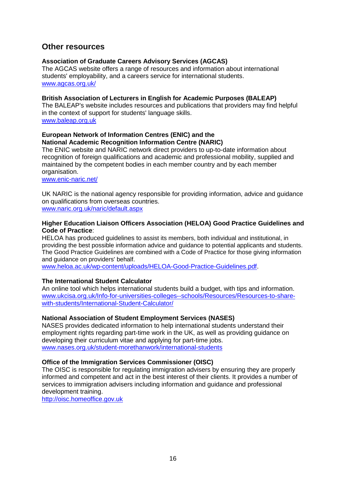### **Other resources**

#### **Association of Graduate Careers Advisory Services (AGCAS)**

The AGCAS website offers a range of resources and information about international students' employability, and a careers service for international students. [www.agcas.org.uk/](http://www.agcas.org.uk/) 

#### **British Association of Lecturers in English for Academic Purposes (BALEAP)**

The BALEAP's website includes resources and publications that providers may find helpful in the context of support for students' language skills. [www.baleap.org.uk](http://www.baleap.org.uk/) 

#### **European Network of Information Centres (ENIC) and the National Academic Recognition Information Centre (NARIC)**

The ENIC website and NARIC network direct providers to up-to-date information about recognition of foreign qualifications and academic and professional mobility, supplied and maintained by the competent bodies in each member country and by each member organisation.

[www.enic-naric.net/](http://www.enic-naric.net/)

UK NARIC is the national agency responsible for providing information, advice and guidance on qualifications from overseas countries.

[www.naric.org.uk/naric/default.aspx](http://www.naric.org.uk/naric/default.aspx)

#### **Higher Education Liaison Officers Association (HELOA) Good Practice Guidelines and Code of Practice**:

HELOA has produced guidelines to assist its members, both individual and institutional, in providing the best possible information advice and guidance to potential applicants and students. The Good Practice Guidelines are combined with a Code of Practice for those giving information and guidance on providers' behalf.

[www.heloa.ac.uk/wp-content/uploads/HELOA-Good-Practice-Guidelines.pdf.](http://www.heloa.ac.uk/wp-content/uploads/HELOA-Good-Practice-Guidelines.pdf)

#### **The International Student Calculator**

An online tool which helps international students build a budget, with tips and information. [www.ukcisa.org.uk/Info-for-universities-colleges--schools/Resources/Resources-to-share](http://www.ukcisa.org.uk/Info-for-universities-colleges--schools/Resources/Resources-to-share-with-students/International-Student-Calculator/)[with-students/International-Student-Calculator/](http://www.ukcisa.org.uk/Info-for-universities-colleges--schools/Resources/Resources-to-share-with-students/International-Student-Calculator/)

#### **National Association of Student Employment Services (NASES)**

NASES provides dedicated information to help international students understand their employment rights regarding part-time work in the UK, as well as providing guidance on developing their curriculum vitae and applying for part-time jobs. [www.nases.org.uk/student-morethanwork/international-students](http://www.nases.org.uk/student-morethanwork/international-students)

#### **Office of the Immigration Services Commissioner (OISC)**

The OISC is responsible for regulating immigration advisers by ensuring they are properly informed and competent and act in the best interest of their clients. It provides a number of services to immigration advisers including information and guidance and professional development training.

[http://oisc.homeoffice.gov.uk](http://oisc.homeoffice.gov.uk/)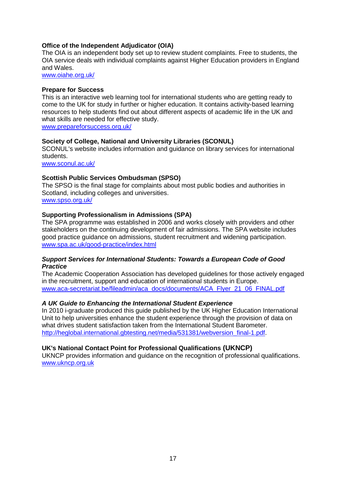#### **Office of the Independent Adjudicator (OIA)**

The OIA is an independent body set up to review student complaints. Free to students, the OIA service deals with individual complaints against Higher Education providers in England and Wales.

[www.oiahe.org.uk/](http://www.oiahe.org.uk/) 

#### **Prepare for Success**

This is an interactive web learning tool for international students who are getting ready to come to the UK for study in further or higher education. It contains activity-based learning resources to help students find out about different aspects of academic life in the UK and what skills are needed for effective study.

[www.prepareforsuccess.org.uk/](http://www.prepareforsuccess.org.uk/)

#### **Society of College, National and University Libraries (SCONUL)**

SCONUL's website includes information and guidance on library services for international students.

[www.sconul.ac.uk/](http://www.sconul.ac.uk/)

#### **Scottish Public Services Ombudsman (SPSO)**

The SPSO is the final stage for complaints about most public bodies and authorities in Scotland, including colleges and universities. [www.spso.org.uk/](http://www.spso.org.uk/)

#### **Supporting Professionalism in Admissions (SPA)**

The SPA programme was established in 2006 and works closely with providers and other stakeholders on the continuing development of fair admissions. The SPA website includes good practice guidance on admissions, student recruitment and widening participation. [www.spa.ac.uk/good-practice/index.html](http://www.spa.ac.uk/good-practice/index.html) 

#### *Support Services for International Students: Towards a European Code of Good Practice*

The Academic Cooperation Association has developed guidelines for those actively engaged in the recruitment, support and education of international students in Europe. [www.aca-secretariat.be/fileadmin/aca\\_docs/documents/ACA\\_Flyer\\_21\\_06\\_FINAL.pdf](http://www.aca-secretariat.be/fileadmin/aca_docs/documents/ACA_Flyer_21_06_FINAL.pdf)

#### *A UK Guide to Enhancing the International Student Experience*

In 2010 i-graduate produced this guide published by the UK Higher Education International Unit to help universities enhance the student experience through the provision of data on what drives student satisfaction taken from the International Student Barometer. [http://heglobal.international.gbtesting.net/media/531381/webversion\\_final-1.pdf.](http://heglobal.international.gbtesting.net/media/531381/webversion_final-1.pdf)

#### **UK's National Contact Point for Professional Qualifications (UKNCP)**

UKNCP provides information and guidance on the recognition of professional qualifications. [www.ukncp.org.uk](http://www.ukncp.org.uk/)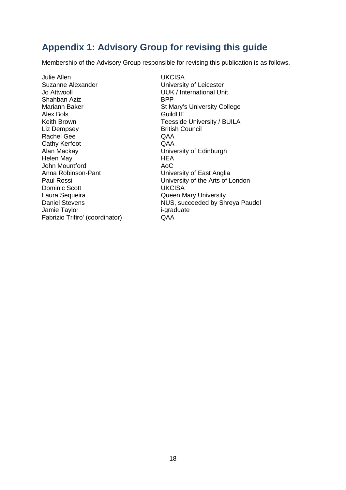# <span id="page-19-0"></span>**Appendix 1: Advisory Group for revising this guide**

Membership of the Advisory Group responsible for revising this publication is as follows.

Julie Allen Suzanne Alexander Jo Attwooll Shahban Aziz Mariann Baker Alex Bols Keith Brown Liz Dempsey Rachel Gee Cathy Kerfoot Alan Mackay Helen May John Mountford Anna Robinson-Pant Paul Rossi Dominic Scott Laura Sequeira Daniel Stevens Jamie Taylor Fabrizio Trifiro' (coordinator)

University of East Anglia **UKCISA** University of Leicester UUK / International Unit BPP St Mary's University College **GuildHE** Teesside University / BUILA British Council QAA QAA University of Edinburgh **HEA** AoC University of the Arts of London **UKCISA** Queen Mary University NUS, succeeded by Shreya Paudel i-graduate QAA